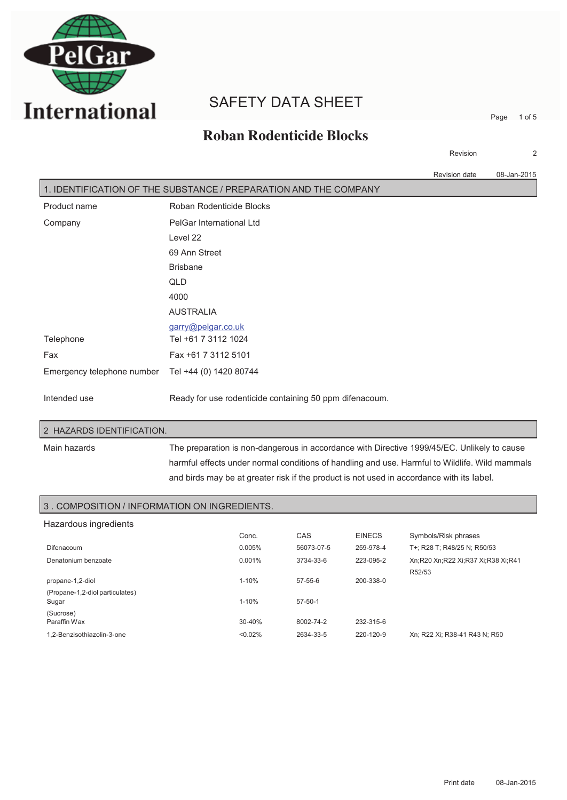

## SAFETY DATA SHEET

Page 1 of 5

### **Roban Rodenticide Blocks**

Revision 2

Revision date 08-Jan-2015

| 1. IDENTIFICATION OF THE SUBSTANCE / PREPARATION AND THE COMPANY |                                                         |
|------------------------------------------------------------------|---------------------------------------------------------|
| Product name                                                     | Roban Rodenticide Blocks                                |
| Company                                                          | PelGar International Ltd                                |
|                                                                  | Level 22                                                |
|                                                                  | 69 Ann Street                                           |
|                                                                  | <b>Brisbane</b>                                         |
|                                                                  | QLD                                                     |
|                                                                  | 4000                                                    |
|                                                                  | <b>AUSTRALIA</b>                                        |
|                                                                  | garry@pelgar.co.uk                                      |
| Telephone                                                        | Tel +61 7 3112 1024                                     |
| Fax                                                              | Fax +61 7 3112 5101                                     |
| Emergency telephone number                                       | Tel +44 (0) 1420 80744                                  |
| Intended use                                                     | Ready for use rodenticide containing 50 ppm difenacoum. |

#### 2 HAZARDS IDENTIFICATION.

Main hazards The preparation is non-dangerous in accordance with Directive 1999/45/EC. Unlikely to cause harmful effects under normal conditions of handling and use. Harmful to Wildlife. Wild mammals and birds may be at greater risk if the product is not used in accordance with its label.

#### 3 . COMPOSITION / INFORMATION ON INGREDIENTS.

| Hazardous ingredients                    |            |               |               |                                    |
|------------------------------------------|------------|---------------|---------------|------------------------------------|
|                                          | Conc.      | CAS           | <b>EINECS</b> | Symbols/Risk phrases               |
| Difenacoum                               | 0.005%     | 56073-07-5    | 259-978-4     | T+: R28 T: R48/25 N: R50/53        |
| Denatonium benzoate                      | 0.001%     | 3734-33-6     | 223-095-2     | Xn;R20 Xn;R22 Xi;R37 Xi;R38 Xi;R41 |
|                                          |            |               |               | R52/53                             |
| propane-1,2-diol                         | $1 - 10%$  | $57 - 55 - 6$ | 200-338-0     |                                    |
| (Propane-1,2-diol particulates)<br>Sugar | $1 - 10%$  | $57 - 50 - 1$ |               |                                    |
| (Sucrose)                                |            |               |               |                                    |
| Paraffin Wax                             | $30 - 40%$ | 8002-74-2     | 232-315-6     |                                    |
| 1.2-Benzisothiazolin-3-one               | $< 0.02\%$ | 2634-33-5     | 220-120-9     | Xn: R22 Xi: R38-41 R43 N: R50      |
|                                          |            |               |               |                                    |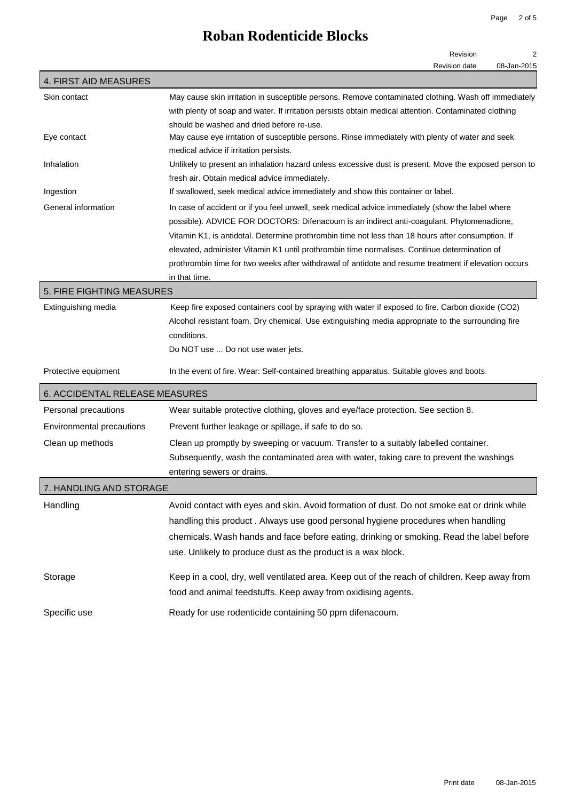## **Roban Rodenticide Blocks**

|                                | Revision<br>$\overline{2}$                                                                                       |
|--------------------------------|------------------------------------------------------------------------------------------------------------------|
|                                | <b>Revision date</b><br>08-Jan-2015                                                                              |
| 4. FIRST AID MEASURES          |                                                                                                                  |
| Skin contact                   | May cause skin irritation in susceptible persons. Remove contaminated clothing. Wash off immediately             |
|                                | with plenty of soap and water. If irritation persists obtain medical attention. Contaminated clothing            |
|                                | should be washed and dried before re-use.                                                                        |
| Eye contact                    | May cause eye irritation of susceptible persons. Rinse immediately with plenty of water and seek                 |
|                                | medical advice if irritation persists.                                                                           |
| Inhalation                     | Unlikely to present an inhalation hazard unless excessive dust is present. Move the exposed person to            |
|                                | fresh air. Obtain medical advice immediately.                                                                    |
| Ingestion                      | If swallowed, seek medical advice immediately and show this container or label.                                  |
| General information            | In case of accident or if you feel unwell, seek medical advice immediately (show the label where                 |
|                                | possible). ADVICE FOR DOCTORS: Difenacoum is an indirect anti-coagulant. Phytomenadione,                         |
|                                | Vitamin K1, is antidotal. Determine prothrombin time not less than 18 hours after consumption. If                |
|                                | elevated, administer Vitamin K1 until prothrombin time normalises. Continue determination of                     |
|                                | prothrombin time for two weeks after withdrawal of antidote and resume treatment if elevation occurs             |
| 5. FIRE FIGHTING MEASURES      | <u>in that time.</u>                                                                                             |
|                                |                                                                                                                  |
| Extinguishing media            | Keep fire exposed containers cool by spraying with water if exposed to fire. Carbon dioxide (CO2)                |
|                                | Alcohol resistant foam. Dry chemical. Use extinguishing media appropriate to the surrounding fire<br>conditions. |
|                                | Do NOT use  Do not use water jets.                                                                               |
|                                |                                                                                                                  |
| Protective equipment           | In the event of fire. Wear: Self-contained breathing apparatus. Suitable gloves and boots.                       |
| 6. ACCIDENTAL RELEASE MEASURES |                                                                                                                  |
| Personal precautions           | Wear suitable protective clothing, gloves and eye/face protection. See section 8.                                |
| Environmental precautions      | Prevent further leakage or spillage, if safe to do so.                                                           |
| Clean up methods               | Clean up promptly by sweeping or vacuum. Transfer to a suitably labelled container.                              |
|                                | Subsequently, wash the contaminated area with water, taking care to prevent the washings                         |
|                                | entering sewers or drains.                                                                                       |
| 7. HANDLING AND STORAGE        |                                                                                                                  |
| Handling                       | Avoid contact with eyes and skin. Avoid formation of dust. Do not smoke eat or drink while                       |
|                                | handling this product. Always use good personal hygiene procedures when handling                                 |
|                                | chemicals. Wash hands and face before eating, drinking or smoking. Read the label before                         |
|                                | use. Unlikely to produce dust as the product is a wax block.                                                     |
| Storage                        | Keep in a cool, dry, well ventilated area. Keep out of the reach of children. Keep away from                     |
|                                | food and animal feedstuffs. Keep away from oxidising agents.                                                     |
| Specific use                   | Ready for use rodenticide containing 50 ppm difenacoum.                                                          |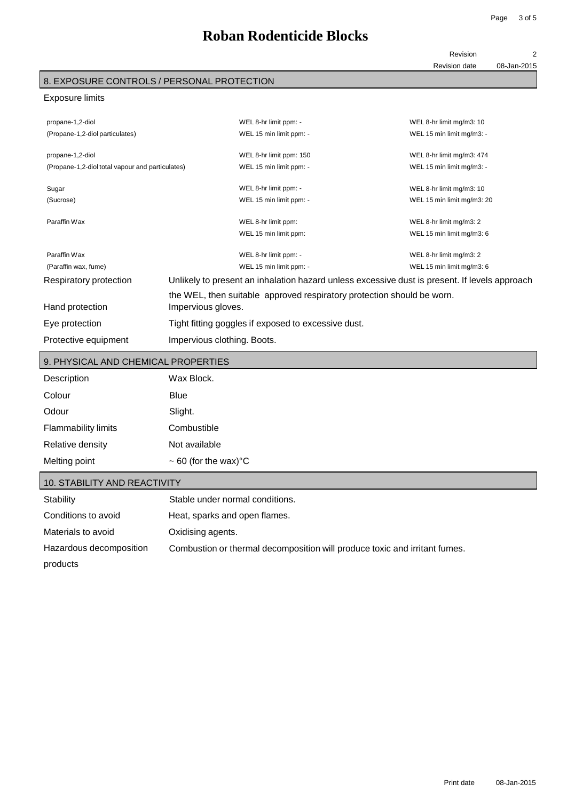## **Roban Rodenticide Blocks**

#### Revision

Revision date 2 08-Jan-2015

### 8. EXPOSURE CONTROLS / PERSONAL PROTECTION

#### Exposure limits

| propane-1,2-diol                                 |                                                                                              | WEL 8-hr limit ppm: -                                                                         | WEL 8-hr limit mg/m3: 10   |
|--------------------------------------------------|----------------------------------------------------------------------------------------------|-----------------------------------------------------------------------------------------------|----------------------------|
| (Propane-1,2-diol particulates)                  |                                                                                              | WEL 15 min limit ppm: -                                                                       | WEL 15 min limit mg/m3: -  |
| propane-1,2-diol                                 |                                                                                              | WEL 8-hr limit ppm: 150                                                                       | WEL 8-hr limit mg/m3: 474  |
| (Propane-1,2-diol total vapour and particulates) |                                                                                              | WEL 15 min limit ppm: -                                                                       | WEL 15 min limit mg/m3: -  |
| Sugar                                            |                                                                                              | WEL 8-hr limit ppm: -                                                                         | WEL 8-hr limit mg/m3: 10   |
| (Sucrose)                                        |                                                                                              | WEL 15 min limit ppm: -                                                                       | WEL 15 min limit mg/m3: 20 |
| Paraffin Wax                                     |                                                                                              | WEL 8-hr limit ppm:                                                                           | WEL 8-hr limit mg/m3: 2    |
|                                                  |                                                                                              | WEL 15 min limit ppm:                                                                         | WEL 15 min limit mg/m3: 6  |
| Paraffin Wax                                     |                                                                                              | WEL 8-hr limit ppm: -                                                                         | WEL 8-hr limit mg/m3: 2    |
| (Paraffin wax, fume)                             |                                                                                              | WEL 15 min limit ppm: -                                                                       | WEL 15 min limit mg/m3: 6  |
| Respiratory protection                           |                                                                                              | Unlikely to present an inhalation hazard unless excessive dust is present. If levels approach |                            |
| Hand protection                                  | the WEL, then suitable approved respiratory protection should be worn.<br>Impervious gloves. |                                                                                               |                            |
| Eye protection                                   | Tight fitting goggles if exposed to excessive dust.                                          |                                                                                               |                            |
| Protective equipment                             | Impervious clothing. Boots.                                                                  |                                                                                               |                            |

### 9. PHYSICAL AND CHEMICAL PROPERTIES

| Description                  | Wax Block.                             |
|------------------------------|----------------------------------------|
| Colour                       | <b>Blue</b>                            |
| Odour                        | Slight.                                |
| <b>Flammability limits</b>   | Combustible                            |
| Relative density             | Not available                          |
| Melting point                | $\sim$ 60 (for the wax) <sup>o</sup> C |
| 10. STABILITY AND REACTIVITY |                                        |

| Stability               | Stable under normal conditions.                                            |
|-------------------------|----------------------------------------------------------------------------|
| Conditions to avoid     | Heat, sparks and open flames.                                              |
| Materials to avoid      | Oxidising agents.                                                          |
| Hazardous decomposition | Combustion or thermal decomposition will produce toxic and irritant fumes. |
| products                |                                                                            |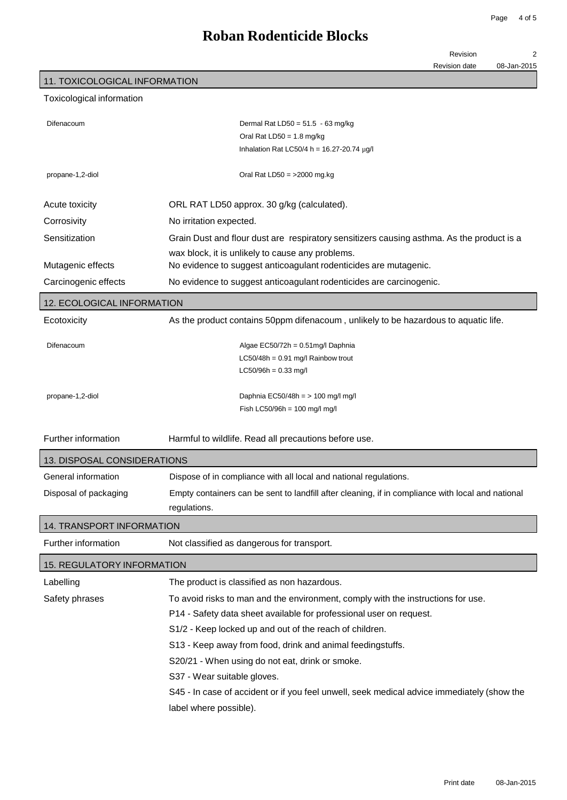2

## **Roban Rodenticide Blocks**

Revision

Revision date 08-Jan-2015

11. TOXICOLOGICAL INFORMATION

| Toxicological information |
|---------------------------|
|---------------------------|

| Difenacoum                        | Dermal Rat LD50 = $51.5 - 63$ mg/kg                                                               |  |
|-----------------------------------|---------------------------------------------------------------------------------------------------|--|
|                                   | Oral Rat LD50 = $1.8 \text{ mg/kg}$                                                               |  |
|                                   | Inhalation Rat LC50/4 h = 16.27-20.74 $\mu$ g/l                                                   |  |
| propane-1,2-diol                  | Oral Rat LD50 = $>$ 2000 mg.kg                                                                    |  |
|                                   |                                                                                                   |  |
| Acute toxicity                    | ORL RAT LD50 approx. 30 g/kg (calculated).                                                        |  |
| Corrosivity                       | No irritation expected.                                                                           |  |
| Sensitization                     | Grain Dust and flour dust are respiratory sensitizers causing asthma. As the product is a         |  |
|                                   | wax block, it is unlikely to cause any problems.                                                  |  |
| Mutagenic effects                 | No evidence to suggest anticoagulant rodenticides are mutagenic.                                  |  |
| Carcinogenic effects              | No evidence to suggest anticoagulant rodenticides are carcinogenic.                               |  |
| <b>12. ECOLOGICAL INFORMATION</b> |                                                                                                   |  |
| Ecotoxicity                       | As the product contains 50ppm difenacoum, unlikely to be hazardous to aquatic life.               |  |
| Difenacoum                        | Algae EC50/72h = 0.51mg/l Daphnia                                                                 |  |
|                                   | LC50/48h = $0.91$ mg/l Rainbow trout                                                              |  |
|                                   | $LC50/96h = 0.33$ mg/l                                                                            |  |
|                                   |                                                                                                   |  |
| propane-1,2-diol                  | Daphnia EC50/48h = $> 100$ mg/l mg/l                                                              |  |
|                                   | Fish LC50/96h = 100 mg/l mg/l                                                                     |  |
| Further information               | Harmful to wildlife. Read all precautions before use.                                             |  |
| 13. DISPOSAL CONSIDERATIONS       |                                                                                                   |  |
| General information               | Dispose of in compliance with all local and national regulations.                                 |  |
|                                   |                                                                                                   |  |
| Disposal of packaging             | Empty containers can be sent to landfill after cleaning, if in compliance with local and national |  |
|                                   | regulations.                                                                                      |  |
| 14. TRANSPORT INFORMATION         |                                                                                                   |  |
| Further information               | Not classified as dangerous for transport.                                                        |  |
| 15. REGULATORY INFORMATION        |                                                                                                   |  |
| Labelling                         | The product is classified as non hazardous.                                                       |  |
| Safety phrases                    | To avoid risks to man and the environment, comply with the instructions for use.                  |  |
|                                   | P14 - Safety data sheet available for professional user on request.                               |  |
|                                   | S1/2 - Keep locked up and out of the reach of children.                                           |  |
|                                   | S13 - Keep away from food, drink and animal feedingstuffs.                                        |  |
|                                   | S20/21 - When using do not eat, drink or smoke.                                                   |  |
|                                   | S37 - Wear suitable gloves.                                                                       |  |
|                                   | S45 - In case of accident or if you feel unwell, seek medical advice immediately (show the        |  |
|                                   | label where possible).                                                                            |  |